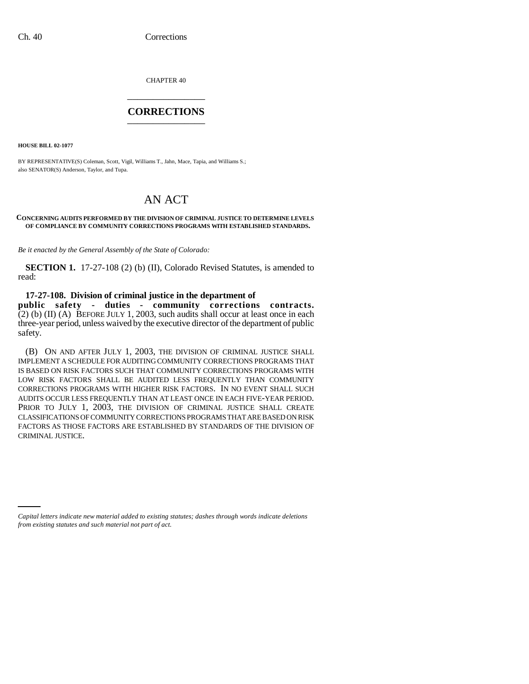CHAPTER 40 \_\_\_\_\_\_\_\_\_\_\_\_\_\_\_

## **CORRECTIONS** \_\_\_\_\_\_\_\_\_\_\_\_\_\_\_

**HOUSE BILL 02-1077**

BY REPRESENTATIVE(S) Coleman, Scott, Vigil, Williams T., Jahn, Mace, Tapia, and Williams S.; also SENATOR(S) Anderson, Taylor, and Tupa.

## AN ACT

## **CONCERNING AUDITS PERFORMED BY THE DIVISION OF CRIMINAL JUSTICE TO DETERMINE LEVELS OF COMPLIANCE BY COMMUNITY CORRECTIONS PROGRAMS WITH ESTABLISHED STANDARDS.**

*Be it enacted by the General Assembly of the State of Colorado:*

**SECTION 1.** 17-27-108 (2) (b) (II), Colorado Revised Statutes, is amended to read:

**17-27-108. Division of criminal justice in the department of public safety - duties - community corrections contracts.**  $(2)$  (b) (II) (A) BEFORE JULY 1, 2003, such audits shall occur at least once in each three-year period, unless waived by the executive director of the department of public safety.

(B) ON AND AFTER JULY 1, 2003, THE DIVISION OF CRIMINAL JUSTICE SHALL IMPLEMENT A SCHEDULE FOR AUDITING COMMUNITY CORRECTIONS PROGRAMS THAT IS BASED ON RISK FACTORS SUCH THAT COMMUNITY CORRECTIONS PROGRAMS WITH LOW RISK FACTORS SHALL BE AUDITED LESS FREQUENTLY THAN COMMUNITY CORRECTIONS PROGRAMS WITH HIGHER RISK FACTORS. IN NO EVENT SHALL SUCH AUDITS OCCUR LESS FREQUENTLY THAN AT LEAST ONCE IN EACH FIVE-YEAR PERIOD. PRIOR TO JULY 1, 2003, THE DIVISION OF CRIMINAL JUSTICE SHALL CREATE CLASSIFICATIONS OF COMMUNITY CORRECTIONS PROGRAMS THAT ARE BASED ON RISK FACTORS AS THOSE FACTORS ARE ESTABLISHED BY STANDARDS OF THE DIVISION OF CRIMINAL JUSTICE.

*Capital letters indicate new material added to existing statutes; dashes through words indicate deletions from existing statutes and such material not part of act.*